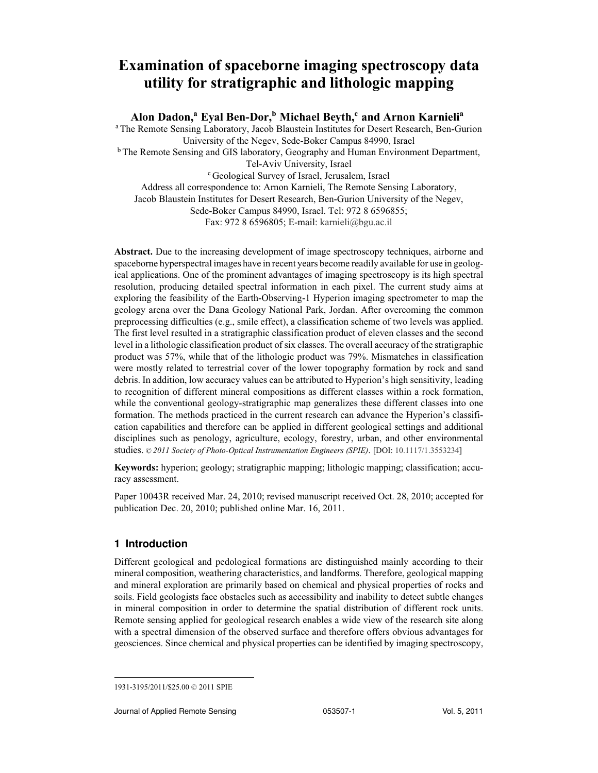# **Examination of spaceborne imaging spectroscopy data utility for stratigraphic and lithologic mapping**

**Alon Dadon,<sup>a</sup> Eyal Ben-Dor,<sup>b</sup> Michael Beyth,<sup>c</sup> and Arnon Karnieli<sup>a</sup>**

<sup>a</sup>The Remote Sensing Laboratory, Jacob Blaustein Institutes for Desert Research, Ben-Gurion University of the Negev, Sede-Boker Campus 84990, Israel <sup>b</sup> The Remote Sensing and GIS laboratory, Geography and Human Environment Department,

Tel-Aviv University, Israel

<sup>c</sup> Geological Survey of Israel, Jerusalem, Israel Address all correspondence to: Arnon Karnieli, The Remote Sensing Laboratory,

Jacob Blaustein Institutes for Desert Research, Ben-Gurion University of the Negev,

Sede-Boker Campus 84990, Israel. Tel: 972 8 6596855;

Fax: 972 8 6596805; E-mail: karnieli@bgu.ac.il

**Abstract.** Due to the increasing development of image spectroscopy techniques, airborne and spaceborne hyperspectral images have in recent years become readily available for use in geological applications. One of the prominent advantages of imaging spectroscopy is its high spectral resolution, producing detailed spectral information in each pixel. The current study aims at exploring the feasibility of the Earth-Observing-1 Hyperion imaging spectrometer to map the geology arena over the Dana Geology National Park, Jordan. After overcoming the common preprocessing difficulties (e.g., smile effect), a classification scheme of two levels was applied. The first level resulted in a stratigraphic classification product of eleven classes and the second level in a lithologic classification product of six classes. The overall accuracy of the stratigraphic product was 57%, while that of the lithologic product was 79%. Mismatches in classification were mostly related to terrestrial cover of the lower topography formation by rock and sand debris. In addition, low accuracy values can be attributed to Hyperion's high sensitivity, leading to recognition of different mineral compositions as different classes within a rock formation, while the conventional geology-stratigraphic map generalizes these different classes into one formation. The methods practiced in the current research can advance the Hyperion's classification capabilities and therefore can be applied in different geological settings and additional disciplines such as penology, agriculture, ecology, forestry, urban, and other environmental studies. © 2011 Society of Photo-Optical Instrumentation Engineers (SPIE). [DOI: 10.1117/1.3553234]

**Keywords:** hyperion; geology; stratigraphic mapping; lithologic mapping; classification; accuracy assessment.

Paper 10043R received Mar. 24, 2010; revised manuscript received Oct. 28, 2010; accepted for publication Dec. 20, 2010; published online Mar. 16, 2011.

## **1 Introduction**

Different geological and pedological formations are distinguished mainly according to their mineral composition, weathering characteristics, and landforms. Therefore, geological mapping and mineral exploration are primarily based on chemical and physical properties of rocks and soils. Field geologists face obstacles such as accessibility and inability to detect subtle changes in mineral composition in order to determine the spatial distribution of different rock units. Remote sensing applied for geological research enables a wide view of the research site along with a spectral dimension of the observed surface and therefore offers obvious advantages for geosciences. Since chemical and physical properties can be identified by imaging spectroscopy,

<sup>1931-3195/2011/\$25.00 © 2011</sup> SPIE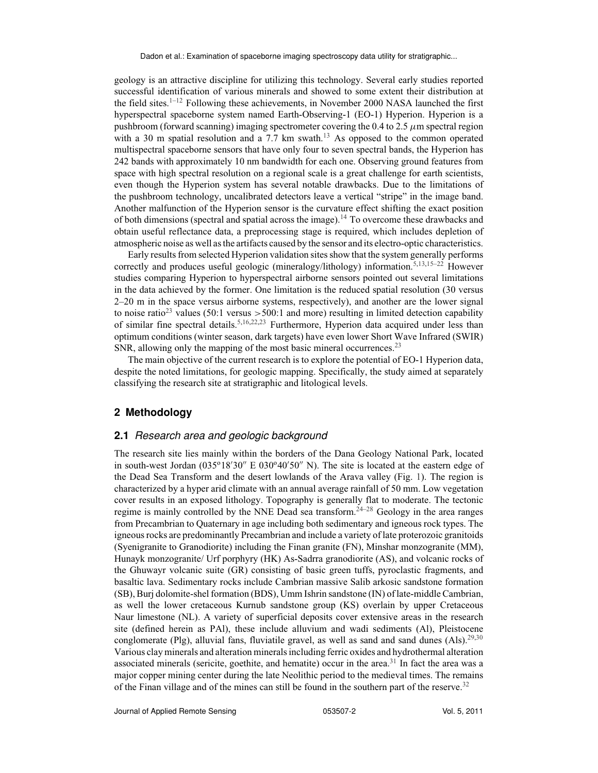geology is an attractive discipline for utilizing this technology. Several early studies reported successful identification of various minerals and showed to some extent their distribution at the field sites. $1-12$  Following these achievements, in November 2000 NASA launched the first hyperspectral spaceborne system named Earth-Observing-1 (EO-1) Hyperion. Hyperion is a pushbroom (forward scanning) imaging spectrometer covering the 0.4 to 2.5  $\mu$ m spectral region with a 30 m spatial resolution and a 7.7 km swath.<sup>13</sup> As opposed to the common operated multispectral spaceborne sensors that have only four to seven spectral bands, the Hyperion has 242 bands with approximately 10 nm bandwidth for each one. Observing ground features from space with high spectral resolution on a regional scale is a great challenge for earth scientists, even though the Hyperion system has several notable drawbacks. Due to the limitations of the pushbroom technology, uncalibrated detectors leave a vertical "stripe" in the image band. Another malfunction of the Hyperion sensor is the curvature effect shifting the exact position of both dimensions (spectral and spatial across the image).<sup>14</sup> To overcome these drawbacks and obtain useful reflectance data, a preprocessing stage is required, which includes depletion of atmospheric noise as well as the artifacts caused by the sensor and its electro-optic characteristics.

Early results from selected Hyperion validation sites show that the system generally performs correctly and produces useful geologic (mineralogy/lithology) information.<sup>5,13,15–22</sup> However studies comparing Hyperion to hyperspectral airborne sensors pointed out several limitations in the data achieved by the former. One limitation is the reduced spatial resolution (30 versus 2–20 m in the space versus airborne systems, respectively), and another are the lower signal to noise ratio<sup>23</sup> values (50:1 versus >500:1 and more) resulting in limited detection capability of similar fine spectral details.5,16,22,23 Furthermore, Hyperion data acquired under less than optimum conditions (winter season, dark targets) have even lower Short Wave Infrared (SWIR) SNR, allowing only the mapping of the most basic mineral occurrences.<sup>23</sup>

The main objective of the current research is to explore the potential of EO-1 Hyperion data, despite the noted limitations, for geologic mapping. Specifically, the study aimed at separately classifying the research site at stratigraphic and litological levels.

## **2 Methodology**

## **2.1** Research area and geologic background

The research site lies mainly within the borders of the Dana Geology National Park, located in south-west Jordan  $(035^{\circ}18'30'' \text{ E } 030^{\circ}40'50'' \text{ N})$ . The site is located at the eastern edge of the Dead Sea Transform and the desert lowlands of the Arava valley (Fig. 1). The region is characterized by a hyper arid climate with an annual average rainfall of 50 mm. Low vegetation cover results in an exposed lithology. Topography is generally flat to moderate. The tectonic regime is mainly controlled by the NNE Dead sea transform.<sup> $24-28$ </sup> Geology in the area ranges from Precambrian to Quaternary in age including both sedimentary and igneous rock types. The igneous rocks are predominantly Precambrian and include a variety of late proterozoic granitoids (Syenigranite to Granodiorite) including the Finan granite (FN), Minshar monzogranite (MM), Hunayk monzogranite/ Urf porphyry (HK) As-Sadrra granodiorite (AS), and volcanic rocks of the Ghuwayr volcanic suite (GR) consisting of basic green tuffs, pyroclastic fragments, and basaltic lava. Sedimentary rocks include Cambrian massive Salib arkosic sandstone formation (SB), Burj dolomite-shel formation (BDS), Umm Ishrin sandstone (IN) of late-middle Cambrian, as well the lower cretaceous Kurnub sandstone group (KS) overlain by upper Cretaceous Naur limestone (NL). A variety of superficial deposits cover extensive areas in the research site (defined herein as PAl), these include alluvium and wadi sediments (Al), Pleistocene conglomerate (Plg), alluvial fans, fluviatile gravel, as well as sand and sand dunes (Als).<sup>29,30</sup> Various clay minerals and alteration minerals including ferric oxides and hydrothermal alteration associated minerals (sericite, goethite, and hematite) occur in the area.<sup>31</sup> In fact the area was a major copper mining center during the late Neolithic period to the medieval times. The remains of the Finan village and of the mines can still be found in the southern part of the reserve.<sup>32</sup>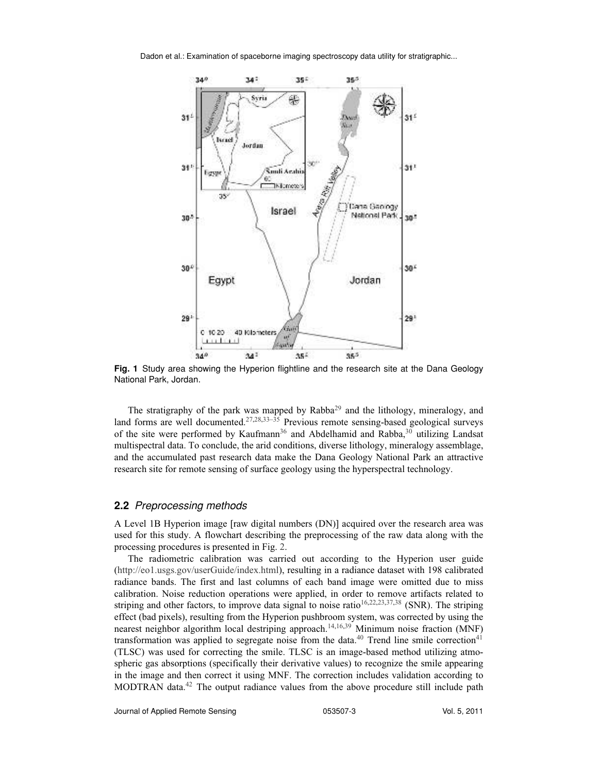

**Fig. 1** Study area showing the Hyperion flightline and the research site at the Dana Geology National Park, Jordan.

The stratigraphy of the park was mapped by  $Rabba<sup>29</sup>$  and the lithology, mineralogy, and land forms are well documented.<sup>27,28,33–35</sup> Previous remote sensing-based geological surveys of the site were performed by Kaufmann<sup>36</sup> and Abdelhamid and Rabba,<sup>30</sup> utilizing Landsat multispectral data. To conclude, the arid conditions, diverse lithology, mineralogy assemblage, and the accumulated past research data make the Dana Geology National Park an attractive research site for remote sensing of surface geology using the hyperspectral technology.

## **2.2** Preprocessing methods

A Level 1B Hyperion image [raw digital numbers (DN)] acquired over the research area was used for this study. A flowchart describing the preprocessing of the raw data along with the processing procedures is presented in Fig. 2.

The radiometric calibration was carried out according to the Hyperion user guide (http://eo1.usgs.gov/userGuide/index.html), resulting in a radiance dataset with 198 calibrated radiance bands. The first and last columns of each band image were omitted due to miss calibration. Noise reduction operations were applied, in order to remove artifacts related to striping and other factors, to improve data signal to noise ratio<sup>16,22,23,37,38</sup> (SNR). The striping effect (bad pixels), resulting from the Hyperion pushbroom system, was corrected by using the nearest neighbor algorithm local destriping approach.14,16,39 Minimum noise fraction (MNF) transformation was applied to segregate noise from the data.<sup>40</sup> Trend line smile correction<sup>41</sup> (TLSC) was used for correcting the smile. TLSC is an image-based method utilizing atmospheric gas absorptions (specifically their derivative values) to recognize the smile appearing in the image and then correct it using MNF. The correction includes validation according to MODTRAN data.<sup>42</sup> The output radiance values from the above procedure still include path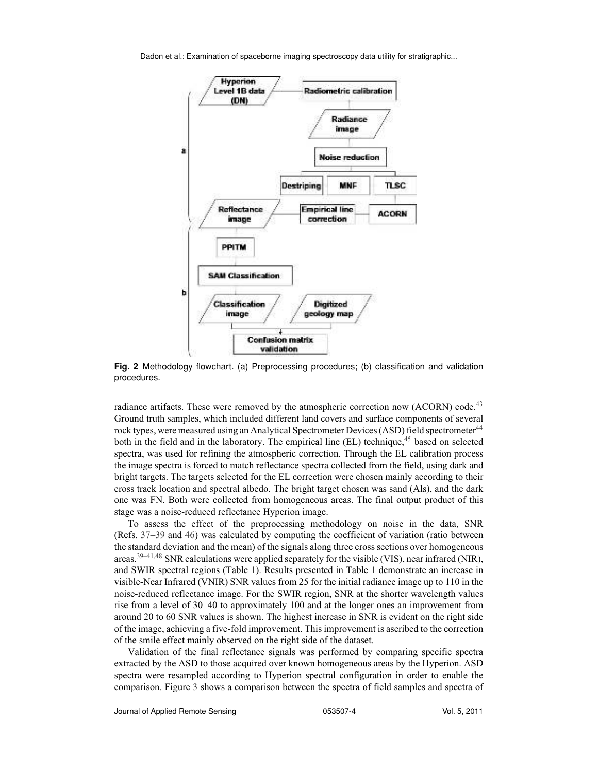

**Fig. 2** Methodology flowchart. (a) Preprocessing procedures; (b) classification and validation procedures.

radiance artifacts. These were removed by the atmospheric correction now (ACORN) code.<sup>43</sup> Ground truth samples, which included different land covers and surface components of several rock types, were measured using an Analytical Spectrometer Devices (ASD) field spectrometer<sup>44</sup> both in the field and in the laboratory. The empirical line  $(EL)$  technique,<sup>45</sup> based on selected spectra, was used for refining the atmospheric correction. Through the EL calibration process the image spectra is forced to match reflectance spectra collected from the field, using dark and bright targets. The targets selected for the EL correction were chosen mainly according to their cross track location and spectral albedo. The bright target chosen was sand (Als), and the dark one was FN. Both were collected from homogeneous areas. The final output product of this stage was a noise-reduced reflectance Hyperion image.

To assess the effect of the preprocessing methodology on noise in the data, SNR (Refs. 37–39 and 46) was calculated by computing the coefficient of variation (ratio between the standard deviation and the mean) of the signals along three cross sections over homogeneous areas.<sup>39–41,48</sup> SNR calculations were applied separately for the visible (VIS), near infrared (NIR), and SWIR spectral regions (Table 1). Results presented in Table 1 demonstrate an increase in visible-Near Infrared (VNIR) SNR values from 25 for the initial radiance image up to 110 in the noise-reduced reflectance image. For the SWIR region, SNR at the shorter wavelength values rise from a level of 30–40 to approximately 100 and at the longer ones an improvement from around 20 to 60 SNR values is shown. The highest increase in SNR is evident on the right side of the image, achieving a five-fold improvement. This improvement is ascribed to the correction of the smile effect mainly observed on the right side of the dataset.

Validation of the final reflectance signals was performed by comparing specific spectra extracted by the ASD to those acquired over known homogeneous areas by the Hyperion. ASD spectra were resampled according to Hyperion spectral configuration in order to enable the comparison. Figure 3 shows a comparison between the spectra of field samples and spectra of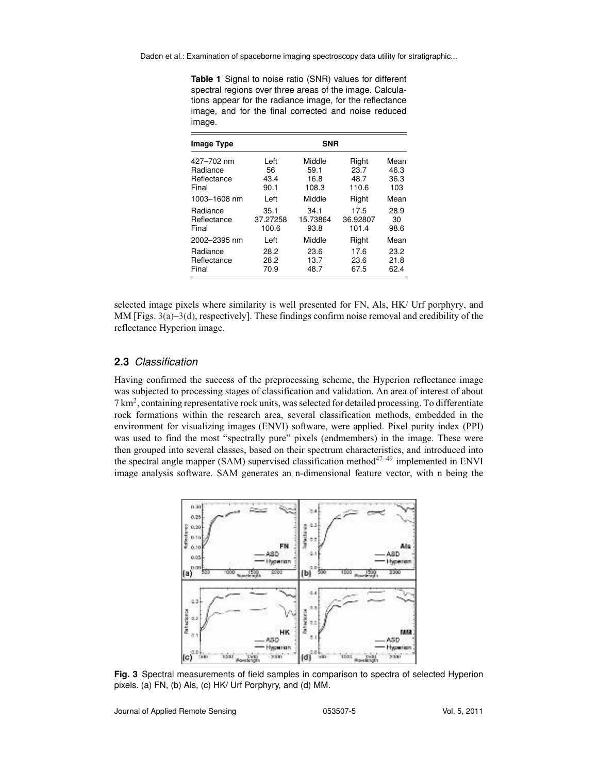**Table 1** Signal to noise ratio (SNR) values for different spectral regions over three areas of the image. Calculations appear for the radiance image, for the reflectance image, and for the final corrected and noise reduced image.

| Image Type   | <b>SNR</b> |          |          |      |  |  |  |
|--------------|------------|----------|----------|------|--|--|--|
| 427-702 nm   | Left       | Middle   | Right    | Mean |  |  |  |
| Radiance     | 56         | 59.1     | 23.7     | 46.3 |  |  |  |
| Reflectance  | 43.4       | 16.8     | 48.7     | 36.3 |  |  |  |
| Final        | 90.1       | 108.3    | 110.6    | 103  |  |  |  |
| 1003-1608 nm | Left       | Middle   | Right    | Mean |  |  |  |
| Radiance     | 35.1       | 34.1     | 17.5     | 28.9 |  |  |  |
| Reflectance  | 37.27258   | 15.73864 | 36.92807 | 30   |  |  |  |
| Final        | 100.6      | 93.8     | 101.4    | 98.6 |  |  |  |
| 2002-2395 nm | Left       | Middle   | Right    | Mean |  |  |  |
| Radiance     | 28.2       | 23.6     | 17.6     | 23.2 |  |  |  |
| Reflectance  | 28.2       | 13.7     | 23.6     | 21.8 |  |  |  |
| Final        | 70.9       | 48.7     | 67.5     | 62.4 |  |  |  |

selected image pixels where similarity is well presented for FN, Als, HK/ Urf porphyry, and MM [Figs.  $3(a)-3(d)$ , respectively]. These findings confirm noise removal and credibility of the reflectance Hyperion image.

## **2.3** Classification

Having confirmed the success of the preprocessing scheme, the Hyperion reflectance image was subjected to processing stages of classification and validation. An area of interest of about 7 km<sup>2</sup>, containing representative rock units, was selected for detailed processing. To differentiate rock formations within the research area, several classification methods, embedded in the environment for visualizing images (ENVI) software, were applied. Pixel purity index (PPI) was used to find the most "spectrally pure" pixels (endmembers) in the image. These were then grouped into several classes, based on their spectrum characteristics, and introduced into the spectral angle mapper (SAM) supervised classification method $47-49$  implemented in ENVI image analysis software. SAM generates an n-dimensional feature vector, with n being the



**Fig. 3** Spectral measurements of field samples in comparison to spectra of selected Hyperion pixels. (a) FN, (b) Als, (c) HK/ Urf Porphyry, and (d) MM.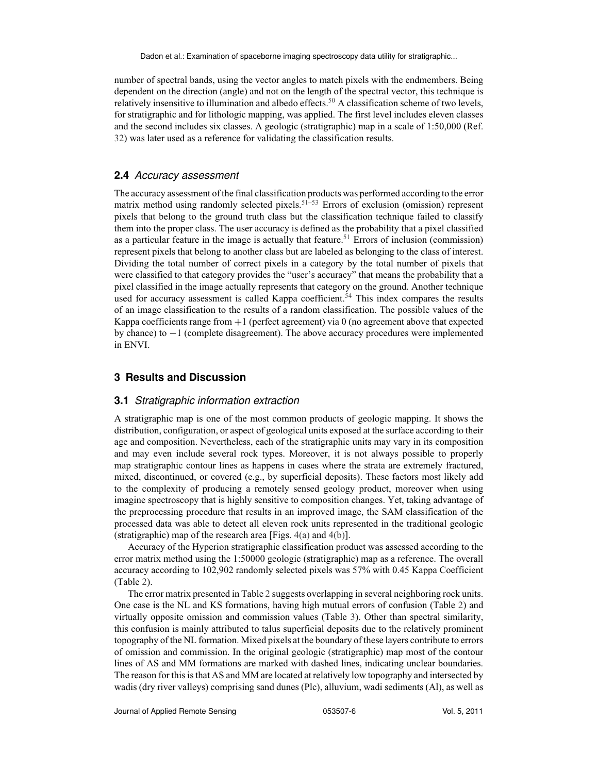number of spectral bands, using the vector angles to match pixels with the endmembers. Being dependent on the direction (angle) and not on the length of the spectral vector, this technique is relatively insensitive to illumination and albedo effects.<sup>50</sup> A classification scheme of two levels, for stratigraphic and for lithologic mapping, was applied. The first level includes eleven classes and the second includes six classes. A geologic (stratigraphic) map in a scale of 1:50,000 (Ref. 32) was later used as a reference for validating the classification results.

## **2.4** Accuracy assessment

The accuracy assessment of the final classification products was performed according to the error matrix method using randomly selected pixels.<sup>51–53</sup> Errors of exclusion (omission) represent pixels that belong to the ground truth class but the classification technique failed to classify them into the proper class. The user accuracy is defined as the probability that a pixel classified as a particular feature in the image is actually that feature.<sup>51</sup> Errors of inclusion (commission) represent pixels that belong to another class but are labeled as belonging to the class of interest. Dividing the total number of correct pixels in a category by the total number of pixels that were classified to that category provides the "user's accuracy" that means the probability that a pixel classified in the image actually represents that category on the ground. Another technique used for accuracy assessment is called Kappa coefficient.<sup>54</sup> This index compares the results of an image classification to the results of a random classification. The possible values of the Kappa coefficients range from  $+1$  (perfect agreement) via 0 (no agreement above that expected by chance) to −1 (complete disagreement). The above accuracy procedures were implemented in ENVI.

## **3 Results and Discussion**

## **3.1** Stratigraphic information extraction

A stratigraphic map is one of the most common products of geologic mapping. It shows the distribution, configuration, or aspect of geological units exposed at the surface according to their age and composition. Nevertheless, each of the stratigraphic units may vary in its composition and may even include several rock types. Moreover, it is not always possible to properly map stratigraphic contour lines as happens in cases where the strata are extremely fractured, mixed, discontinued, or covered (e.g., by superficial deposits). These factors most likely add to the complexity of producing a remotely sensed geology product, moreover when using imagine spectroscopy that is highly sensitive to composition changes. Yet, taking advantage of the preprocessing procedure that results in an improved image, the SAM classification of the processed data was able to detect all eleven rock units represented in the traditional geologic (stratigraphic) map of the research area [Figs. 4(a) and 4(b)].

Accuracy of the Hyperion stratigraphic classification product was assessed according to the error matrix method using the 1:50000 geologic (stratigraphic) map as a reference. The overall accuracy according to 102,902 randomly selected pixels was 57% with 0.45 Kappa Coefficient (Table 2).

The error matrix presented in Table 2 suggests overlapping in several neighboring rock units. One case is the NL and KS formations, having high mutual errors of confusion (Table 2) and virtually opposite omission and commission values (Table 3). Other than spectral similarity, this confusion is mainly attributed to talus superficial deposits due to the relatively prominent topography of the NL formation. Mixed pixels at the boundary of these layers contribute to errors of omission and commission. In the original geologic (stratigraphic) map most of the contour lines of AS and MM formations are marked with dashed lines, indicating unclear boundaries. The reason for this is that AS and MM are located at relatively low topography and intersected by wadis (dry river valleys) comprising sand dunes (Plc), alluvium, wadi sediments (Al), as well as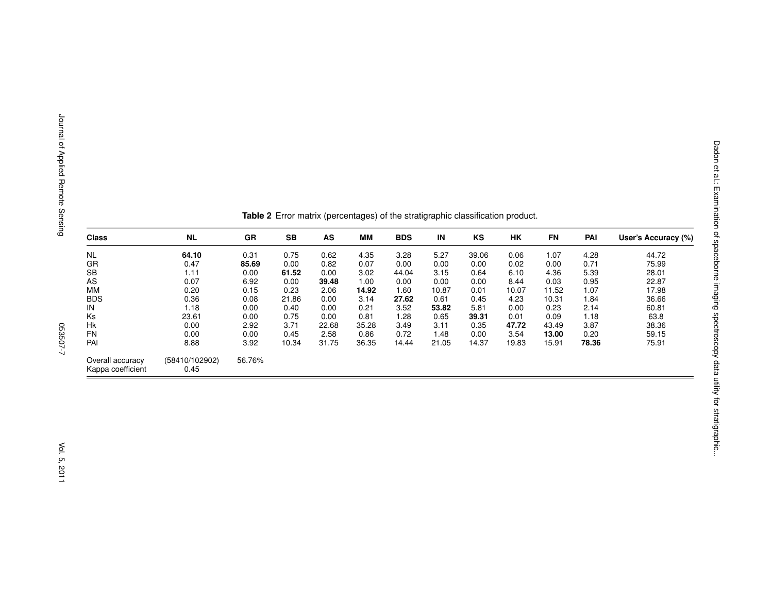| <b>Class</b>                          | <b>NL</b>              | GR     | <b>SB</b> | AS    | ΜМ    | <b>BDS</b> | IN    | KS    | HK    | <b>FN</b> | PAI   | User's Accuracy (%) |
|---------------------------------------|------------------------|--------|-----------|-------|-------|------------|-------|-------|-------|-----------|-------|---------------------|
| <b>NL</b>                             | 64.10                  | 0.31   | 0.75      | 0.62  | 4.35  | 3.28       | 5.27  | 39.06 | 0.06  | 1.07      | 4.28  | 44.72               |
| GR                                    | 0.47                   | 85.69  | 0.00      | 0.82  | 0.07  | 0.00       | 0.00  | 0.00  | 0.02  | 0.00      | 0.71  | 75.99               |
| <b>SB</b>                             | 1.11                   | 0.00   | 61.52     | 0.00  | 3.02  | 44.04      | 3.15  | 0.64  | 6.10  | 4.36      | 5.39  | 28.01               |
| AS                                    | 0.07                   | 6.92   | 0.00      | 39.48 | 1.00  | 0.00       | 0.00  | 0.00  | 8.44  | 0.03      | 0.95  | 22.87               |
| ΜМ                                    | 0.20                   | 0.15   | 0.23      | 2.06  | 14.92 | 1.60       | 10.87 | 0.01  | 10.07 | 11.52     | 1.07  | 17.98               |
| <b>BDS</b>                            | 0.36                   | 0.08   | 21.86     | 0.00  | 3.14  | 27.62      | 0.61  | 0.45  | 4.23  | 10.31     | 1.84  | 36.66               |
| IN                                    | 1.18                   | 0.00   | 0.40      | 0.00  | 0.21  | 3.52       | 53.82 | 5.81  | 0.00  | 0.23      | 2.14  | 60.81               |
| Ks                                    | 23.61                  | 0.00   | 0.75      | 0.00  | 0.81  | 1.28       | 0.65  | 39.31 | 0.01  | 0.09      | 1.18  | 63.8                |
| Hk                                    | 0.00                   | 2.92   | 3.71      | 22.68 | 35.28 | 3.49       | 3.11  | 0.35  | 47.72 | 43.49     | 3.87  | 38.36               |
| <b>FN</b>                             | 0.00                   | 0.00   | 0.45      | 2.58  | 0.86  | 0.72       | 1.48  | 0.00  | 3.54  | 13.00     | 0.20  | 59.15               |
| PAI                                   | 8.88                   | 3.92   | 10.34     | 31.75 | 36.35 | 14.44      | 21.05 | 14.37 | 19.83 | 15.91     | 78.36 | 75.91               |
| Overall accuracy<br>Kappa coefficient | (58410/102902)<br>0.45 | 56.76% |           |       |       |            |       |       |       |           |       |                     |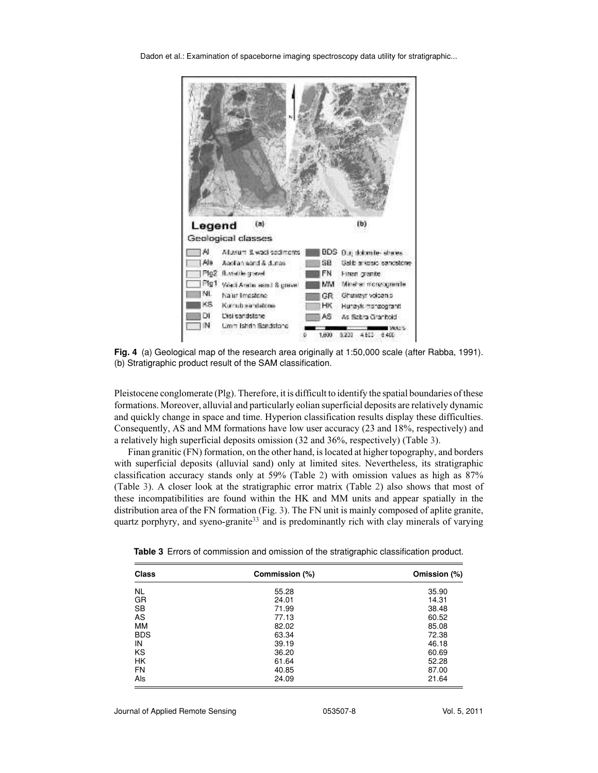Dadon et al.: Examination of spaceborne imaging spectroscopy data utility for stratigraphic...



**Fig. 4** (a) Geological map of the research area originally at 1:50,000 scale (after Rabba, 1991). (b) Stratigraphic product result of the SAM classification.

Pleistocene conglomerate (Plg). Therefore, it is difficult to identify the spatial boundaries of these formations. Moreover, alluvial and particularly eolian superficial deposits are relatively dynamic and quickly change in space and time. Hyperion classification results display these difficulties. Consequently, AS and MM formations have low user accuracy (23 and 18%, respectively) and a relatively high superficial deposits omission (32 and 36%, respectively) (Table 3).

Finan granitic (FN) formation, on the other hand, is located at higher topography, and borders with superficial deposits (alluvial sand) only at limited sites. Nevertheless, its stratigraphic classification accuracy stands only at 59% (Table 2) with omission values as high as 87% (Table 3). A closer look at the stratigraphic error matrix (Table 2) also shows that most of these incompatibilities are found within the HK and MM units and appear spatially in the distribution area of the FN formation (Fig. 3). The FN unit is mainly composed of aplite granite, quartz porphyry, and syeno-granite<sup>33</sup> and is predominantly rich with clay minerals of varying

| <b>Class</b> | Commission (%) | Omission (%) |  |  |
|--------------|----------------|--------------|--|--|
| <b>NL</b>    | 55.28          | 35.90        |  |  |
| GR           | 24.01          | 14.31        |  |  |
| <b>SB</b>    | 71.99          | 38.48        |  |  |
| AS           | 77.13          | 60.52        |  |  |
| <b>MM</b>    | 82.02          | 85.08        |  |  |
| <b>BDS</b>   | 63.34          | 72.38        |  |  |
| IN           | 39.19          | 46.18        |  |  |
| <b>KS</b>    | 36.20          | 60.69        |  |  |
| <b>HK</b>    | 61.64          | 52.28        |  |  |
| <b>FN</b>    | 40.85          | 87.00        |  |  |
| Als          | 24.09          | 21.64        |  |  |

**Table 3** Errors of commission and omission of the stratigraphic classification product.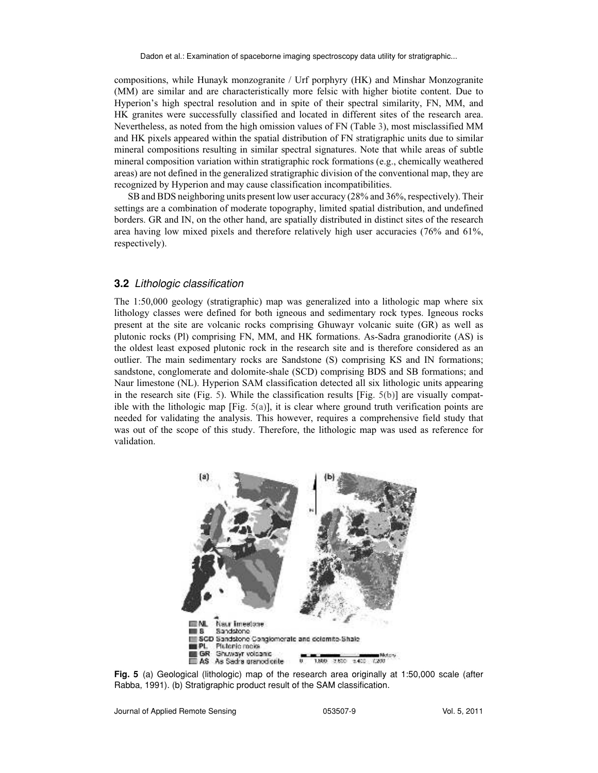compositions, while Hunayk monzogranite / Urf porphyry (HK) and Minshar Monzogranite (MM) are similar and are characteristically more felsic with higher biotite content. Due to Hyperion's high spectral resolution and in spite of their spectral similarity, FN, MM, and HK granites were successfully classified and located in different sites of the research area. Nevertheless, as noted from the high omission values of FN (Table 3), most misclassified MM and HK pixels appeared within the spatial distribution of FN stratigraphic units due to similar mineral compositions resulting in similar spectral signatures. Note that while areas of subtle mineral composition variation within stratigraphic rock formations (e.g., chemically weathered areas) are not defined in the generalized stratigraphic division of the conventional map, they are recognized by Hyperion and may cause classification incompatibilities.

SB and BDS neighboring units present low user accuracy (28% and 36%, respectively). Their settings are a combination of moderate topography, limited spatial distribution, and undefined borders. GR and IN, on the other hand, are spatially distributed in distinct sites of the research area having low mixed pixels and therefore relatively high user accuracies (76% and 61%, respectively).

## **3.2** Lithologic classification

The 1:50,000 geology (stratigraphic) map was generalized into a lithologic map where six lithology classes were defined for both igneous and sedimentary rock types. Igneous rocks present at the site are volcanic rocks comprising Ghuwayr volcanic suite (GR) as well as plutonic rocks (Pl) comprising FN, MM, and HK formations. As-Sadra granodiorite (AS) is the oldest least exposed plutonic rock in the research site and is therefore considered as an outlier. The main sedimentary rocks are Sandstone (S) comprising KS and IN formations; sandstone, conglomerate and dolomite-shale (SCD) comprising BDS and SB formations; and Naur limestone (NL). Hyperion SAM classification detected all six lithologic units appearing in the research site (Fig. 5). While the classification results [Fig.  $5(b)$ ] are visually compatible with the lithologic map  $[Fig. 5(a)]$ , it is clear where ground truth verification points are needed for validating the analysis. This however, requires a comprehensive field study that was out of the scope of this study. Therefore, the lithologic map was used as reference for validation.



**Fig. 5** (a) Geological (lithologic) map of the research area originally at 1:50,000 scale (after Rabba, 1991). (b) Stratigraphic product result of the SAM classification.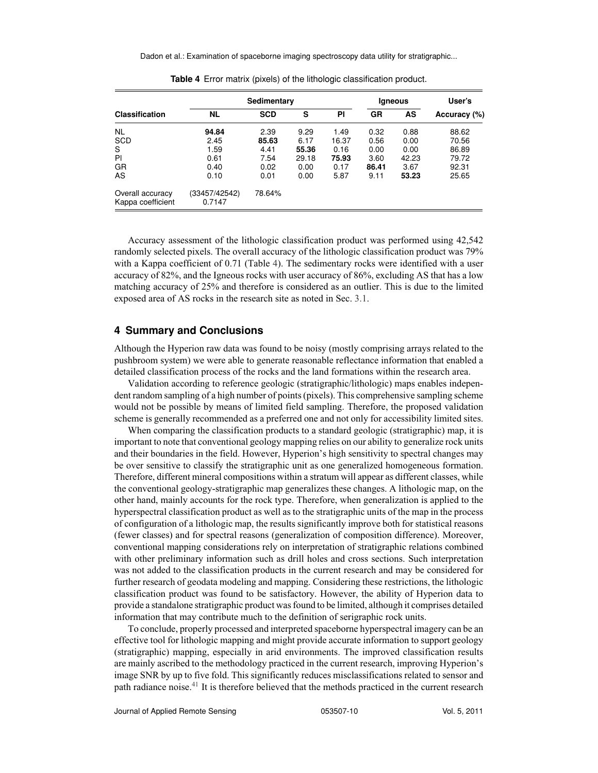|                                       | Sedimentary             |            | <b>Igneous</b> | User's |       |       |              |
|---------------------------------------|-------------------------|------------|----------------|--------|-------|-------|--------------|
| <b>Classification</b>                 | NL.                     | <b>SCD</b> | s              | ΡI     | GR    | AS    | Accuracy (%) |
| NL.                                   | 94.84                   | 2.39       | 9.29           | 1.49   | 0.32  | 0.88  | 88.62        |
| <b>SCD</b>                            | 2.45                    | 85.63      | 6.17           | 16.37  | 0.56  | 0.00  | 70.56        |
| S                                     | 1.59                    | 4.41       | 55.36          | 0.16   | 0.00  | 0.00  | 86.89        |
| PI                                    | 0.61                    | 7.54       | 29.18          | 75.93  | 3.60  | 42.23 | 79.72        |
| GR                                    | 0.40                    | 0.02       | 0.00           | 0.17   | 86.41 | 3.67  | 92.31        |
| AS                                    | 0.10                    | 0.01       | 0.00           | 5.87   | 9.11  | 53.23 | 25.65        |
| Overall accuracy<br>Kappa coefficient | (33457/42542)<br>0.7147 | 78.64%     |                |        |       |       |              |

**Table 4** Error matrix (pixels) of the lithologic classification product.

Accuracy assessment of the lithologic classification product was performed using 42,542 randomly selected pixels. The overall accuracy of the lithologic classification product was 79% with a Kappa coefficient of 0.71 (Table 4). The sedimentary rocks were identified with a user accuracy of 82%, and the Igneous rocks with user accuracy of 86%, excluding AS that has a low matching accuracy of 25% and therefore is considered as an outlier. This is due to the limited exposed area of AS rocks in the research site as noted in Sec. 3.1.

## **4 Summary and Conclusions**

Although the Hyperion raw data was found to be noisy (mostly comprising arrays related to the pushbroom system) we were able to generate reasonable reflectance information that enabled a detailed classification process of the rocks and the land formations within the research area.

Validation according to reference geologic (stratigraphic/lithologic) maps enables independent random sampling of a high number of points (pixels). This comprehensive sampling scheme would not be possible by means of limited field sampling. Therefore, the proposed validation scheme is generally recommended as a preferred one and not only for accessibility limited sites.

When comparing the classification products to a standard geologic (stratigraphic) map, it is important to note that conventional geology mapping relies on our ability to generalize rock units and their boundaries in the field. However, Hyperion's high sensitivity to spectral changes may be over sensitive to classify the stratigraphic unit as one generalized homogeneous formation. Therefore, different mineral compositions within a stratum will appear as different classes, while the conventional geology-stratigraphic map generalizes these changes. A lithologic map, on the other hand, mainly accounts for the rock type. Therefore, when generalization is applied to the hyperspectral classification product as well as to the stratigraphic units of the map in the process of configuration of a lithologic map, the results significantly improve both for statistical reasons (fewer classes) and for spectral reasons (generalization of composition difference). Moreover, conventional mapping considerations rely on interpretation of stratigraphic relations combined with other preliminary information such as drill holes and cross sections. Such interpretation was not added to the classification products in the current research and may be considered for further research of geodata modeling and mapping. Considering these restrictions, the lithologic classification product was found to be satisfactory. However, the ability of Hyperion data to provide a standalone stratigraphic product was found to be limited, although it comprises detailed information that may contribute much to the definition of serigraphic rock units.

To conclude, properly processed and interpreted spaceborne hyperspectral imagery can be an effective tool for lithologic mapping and might provide accurate information to support geology (stratigraphic) mapping, especially in arid environments. The improved classification results are mainly ascribed to the methodology practiced in the current research, improving Hyperion's image SNR by up to five fold. This significantly reduces misclassifications related to sensor and path radiance noise.<sup>41</sup> It is therefore believed that the methods practiced in the current research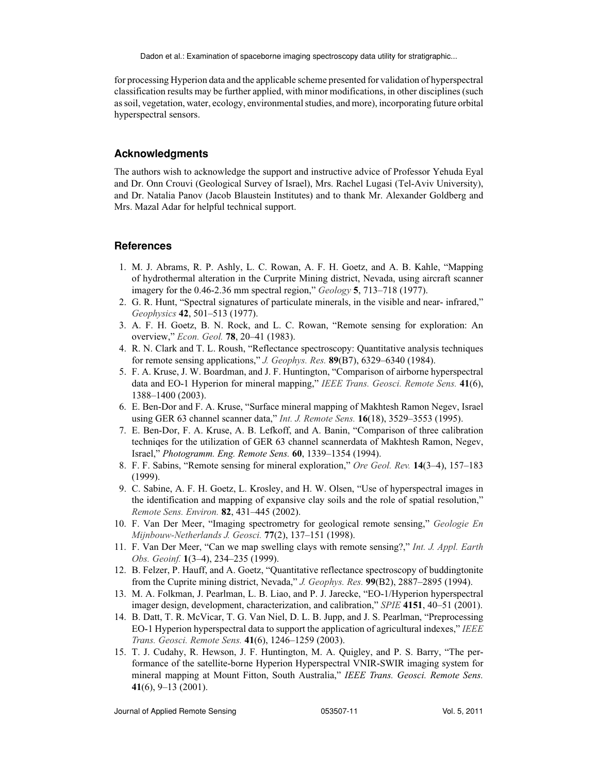for processing Hyperion data and the applicable scheme presented for validation of hyperspectral classification results may be further applied, with minor modifications, in other disciplines (such as soil, vegetation, water, ecology, environmental studies, and more), incorporating future orbital hyperspectral sensors.

## **Acknowledgments**

The authors wish to acknowledge the support and instructive advice of Professor Yehuda Eyal and Dr. Onn Crouvi (Geological Survey of Israel), Mrs. Rachel Lugasi (Tel-Aviv University), and Dr. Natalia Panov (Jacob Blaustein Institutes) and to thank Mr. Alexander Goldberg and Mrs. Mazal Adar for helpful technical support.

## **References**

- 1. M. J. Abrams, R. P. Ashly, L. C. Rowan, A. F. H. Goetz, and A. B. Kahle, "Mapping of hydrothermal alteration in the Curprite Mining district, Nevada, using aircraft scanner imagery for the 0.46-2.36 mm spectral region," *Geology* **5**, 713–718 (1977).
- 2. G. R. Hunt, "Spectral signatures of particulate minerals, in the visible and near- infrared," *Geophysics* **42**, 501–513 (1977).
- 3. A. F. H. Goetz, B. N. Rock, and L. C. Rowan, "Remote sensing for exploration: An overview," *Econ. Geol.* **78**, 20–41 (1983).
- 4. R. N. Clark and T. L. Roush, "Reflectance spectroscopy: Quantitative analysis techniques for remote sensing applications," *J. Geophys. Res.* **89**(B7), 6329–6340 (1984).
- 5. F. A. Kruse, J. W. Boardman, and J. F. Huntington, "Comparison of airborne hyperspectral data and EO-1 Hyperion for mineral mapping," *IEEE Trans. Geosci. Remote Sens.* **41**(6), 1388–1400 (2003).
- 6. E. Ben-Dor and F. A. Kruse, "Surface mineral mapping of Makhtesh Ramon Negev, Israel using GER 63 channel scanner data," *Int. J. Remote Sens.* **16**(18), 3529–3553 (1995).
- 7. E. Ben-Dor, F. A. Kruse, A. B. Lefkoff, and A. Banin, "Comparison of three calibration techniqes for the utilization of GER 63 channel scannerdata of Makhtesh Ramon, Negev, Israel," *Photogramm. Eng. Remote Sens.* **60**, 1339–1354 (1994).
- 8. F. F. Sabins, "Remote sensing for mineral exploration," *Ore Geol. Rev.* **14**(3–4), 157–183 (1999).
- 9. C. Sabine, A. F. H. Goetz, L. Krosley, and H. W. Olsen, "Use of hyperspectral images in the identification and mapping of expansive clay soils and the role of spatial resolution," *Remote Sens. Environ.* **82**, 431–445 (2002).
- 10. F. Van Der Meer, "Imaging spectrometry for geological remote sensing," *Geologie En Mijnbouw-Netherlands J. Geosci.* **77**(2), 137–151 (1998).
- 11. F. Van Der Meer, "Can we map swelling clays with remote sensing?," *Int. J. Appl. Earth Obs. Geoinf.* **1**(3–4), 234–235 (1999).
- 12. B. Felzer, P. Hauff, and A. Goetz, "Quantitative reflectance spectroscopy of buddingtonite from the Cuprite mining district, Nevada," *J. Geophys. Res.* **99**(B2), 2887–2895 (1994).
- 13. M. A. Folkman, J. Pearlman, L. B. Liao, and P. J. Jarecke, "EO-1/Hyperion hyperspectral imager design, development, characterization, and calibration," *SPIE* **4151**, 40–51 (2001).
- 14. B. Datt, T. R. McVicar, T. G. Van Niel, D. L. B. Jupp, and J. S. Pearlman, "Preprocessing EO-1 Hyperion hyperspectral data to support the application of agricultural indexes," *IEEE Trans. Geosci. Remote Sens.* **41**(6), 1246–1259 (2003).
- 15. T. J. Cudahy, R. Hewson, J. F. Huntington, M. A. Quigley, and P. S. Barry, "The performance of the satellite-borne Hyperion Hyperspectral VNIR-SWIR imaging system for mineral mapping at Mount Fitton, South Australia," *IEEE Trans. Geosci. Remote Sens.* **41**(6), 9–13 (2001).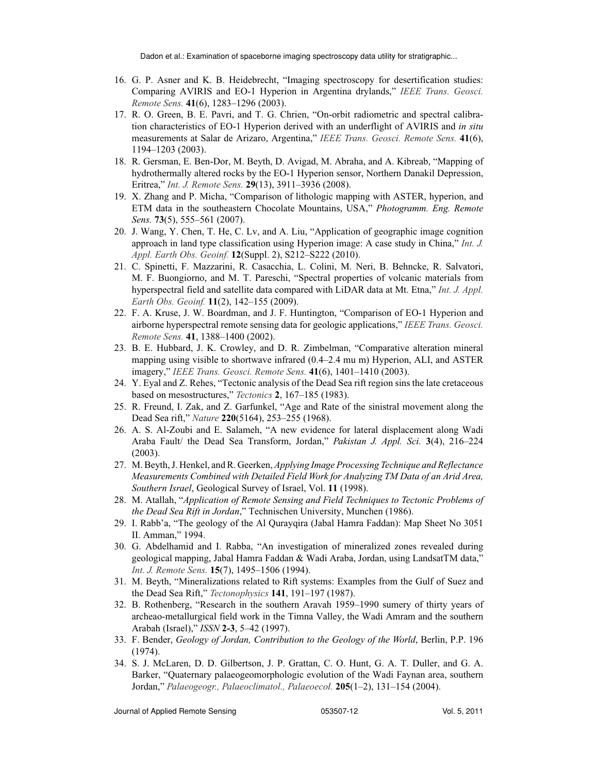- 16. G. P. Asner and K. B. Heidebrecht, "Imaging spectroscopy for desertification studies: Comparing AVIRIS and EO-1 Hyperion in Argentina drylands," *IEEE Trans. Geosci. Remote Sens.* **41**(6), 1283–1296 (2003).
- 17. R. O. Green, B. E. Pavri, and T. G. Chrien, "On-orbit radiometric and spectral calibration characteristics of EO-1 Hyperion derived with an underflight of AVIRIS and *in situ* measurements at Salar de Arizaro, Argentina," *IEEE Trans. Geosci. Remote Sens.* **41**(6), 1194–1203 (2003).
- 18. R. Gersman, E. Ben-Dor, M. Beyth, D. Avigad, M. Abraha, and A. Kibreab, "Mapping of hydrothermally altered rocks by the EO-1 Hyperion sensor, Northern Danakil Depression, Eritrea," *Int. J. Remote Sens.* **29**(13), 3911–3936 (2008).
- 19. X. Zhang and P. Micha, "Comparison of lithologic mapping with ASTER, hyperion, and ETM data in the southeastern Chocolate Mountains, USA," *Photogramm. Eng. Remote Sens.* **73**(5), 555–561 (2007).
- 20. J. Wang, Y. Chen, T. He, C. Lv, and A. Liu, "Application of geographic image cognition approach in land type classification using Hyperion image: A case study in China," *Int. J. Appl. Earth Obs. Geoinf.* **12**(Suppl. 2), S212–S222 (2010).
- 21. C. Spinetti, F. Mazzarini, R. Casacchia, L. Colini, M. Neri, B. Behncke, R. Salvatori, M. F. Buongiorno, and M. T. Pareschi, "Spectral properties of volcanic materials from hyperspectral field and satellite data compared with LiDAR data at Mt. Etna," *Int. J. Appl. Earth Obs. Geoinf.* **11**(2), 142–155 (2009).
- 22. F. A. Kruse, J. W. Boardman, and J. F. Huntington, "Comparison of EO-1 Hyperion and airborne hyperspectral remote sensing data for geologic applications," *IEEE Trans. Geosci. Remote Sens.* **41**, 1388–1400 (2002).
- 23. B. E. Hubbard, J. K. Crowley, and D. R. Zimbelman, "Comparative alteration mineral mapping using visible to shortwave infrared (0.4–2.4 mu m) Hyperion, ALI, and ASTER imagery," *IEEE Trans. Geosci. Remote Sens.* **41**(6), 1401–1410 (2003).
- 24. Y. Eyal and Z. Rehes, "Tectonic analysis of the Dead Sea rift region sins the late cretaceous based on mesostructures," *Tectonics* **2**, 167–185 (1983).
- 25. R. Freund, I. Zak, and Z. Garfunkel, "Age and Rate of the sinistral movement along the Dead Sea rift," *Nature* **220**(5164), 253–255 (1968).
- 26. A. S. Al-Zoubi and E. Salameh, "A new evidence for lateral displacement along Wadi Araba Fault/ the Dead Sea Transform, Jordan," *Pakistan J. Appl. Sci.* **3**(4), 216–224 (2003).
- 27. M. Beyth, J. Henkel, and R. Geerken, *Applying Image Processing Technique and Reflectance Measurements Combined with Detailed Field Work for Analyzing TM Data of an Arid Area, Southern Israel*, Geological Survey of Israel, Vol. **11** (1998).
- 28. M. Atallah, "*Application of Remote Sensing and Field Techniques to Tectonic Problems of the Dead Sea Rift in Jordan*," Technischen University, Munchen (1986).
- 29. I. Rabb'a, "The geology of the Al Qurayqira (Jabal Hamra Faddan): Map Sheet No 3051 II. Amman," 1994.
- 30. G. Abdelhamid and I. Rabba, "An investigation of mineralized zones revealed during geological mapping, Jabal Hamra Faddan & Wadi Araba, Jordan, using LandsatTM data," *Int. J. Remote Sens.* **15**(7), 1495–1506 (1994).
- 31. M. Beyth, "Mineralizations related to Rift systems: Examples from the Gulf of Suez and the Dead Sea Rift," *Tectonophysics* **141**, 191–197 (1987).
- 32. B. Rothenberg, "Research in the southern Aravah 1959–1990 sumery of thirty years of archeao-metallurgical field work in the Timna Valley, the Wadi Amram and the southern Arabah (Israel)," *ISSN* **2-3**, 5–42 (1997).
- 33. F. Bender, *Geology of Jordan, Contribution to the Geology of the World*, Berlin, P.P. 196 (1974).
- 34. S. J. McLaren, D. D. Gilbertson, J. P. Grattan, C. O. Hunt, G. A. T. Duller, and G. A. Barker, "Quaternary palaeogeomorphologic evolution of the Wadi Faynan area, southern Jordan," *Palaeogeogr., Palaeoclimatol., Palaeoecol.* **205**(1–2), 131–154 (2004).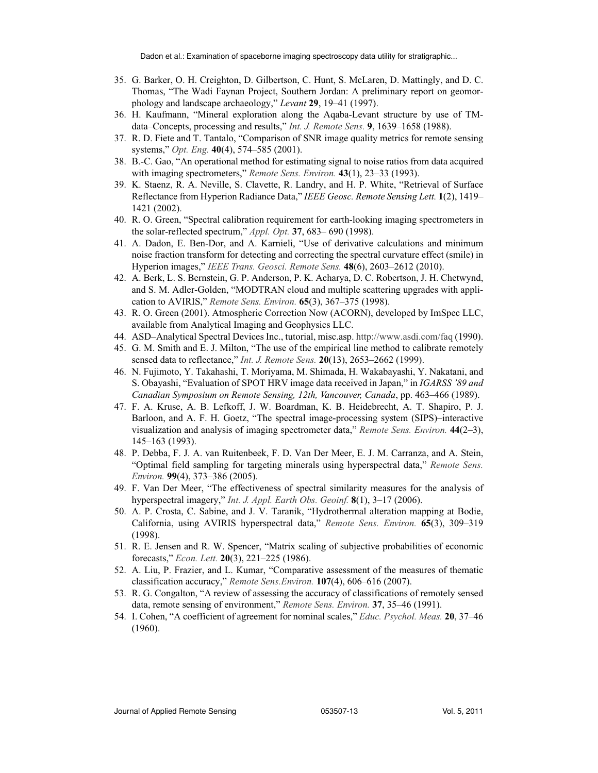- 35. G. Barker, O. H. Creighton, D. Gilbertson, C. Hunt, S. McLaren, D. Mattingly, and D. C. Thomas, "The Wadi Faynan Project, Southern Jordan: A preliminary report on geomorphology and landscape archaeology," *Levant* **29**, 19–41 (1997).
- 36. H. Kaufmann, "Mineral exploration along the Aqaba-Levant structure by use of TMdata–Concepts, processing and results," *Int. J. Remote Sens.* **9**, 1639–1658 (1988).
- 37. R. D. Fiete and T. Tantalo, "Comparison of SNR image quality metrics for remote sensing systems," *Opt. Eng.* **40**(4), 574–585 (2001).
- 38. B.-C. Gao, "An operational method for estimating signal to noise ratios from data acquired with imaging spectrometers," *Remote Sens. Environ.* **43**(1), 23–33 (1993).
- 39. K. Staenz, R. A. Neville, S. Clavette, R. Landry, and H. P. White, "Retrieval of Surface Reflectance from Hyperion Radiance Data," *IEEE Geosc. Remote Sensing Lett.* **1**(2), 1419– 1421 (2002).
- 40. R. O. Green, "Spectral calibration requirement for earth-looking imaging spectrometers in the solar-reflected spectrum," *Appl. Opt.* **37**, 683– 690 (1998).
- 41. A. Dadon, E. Ben-Dor, and A. Karnieli, "Use of derivative calculations and minimum noise fraction transform for detecting and correcting the spectral curvature effect (smile) in Hyperion images," *IEEE Trans. Geosci. Remote Sens.* **48**(6), 2603–2612 (2010).
- 42. A. Berk, L. S. Bernstein, G. P. Anderson, P. K. Acharya, D. C. Robertson, J. H. Chetwynd, and S. M. Adler-Golden, "MODTRAN cloud and multiple scattering upgrades with application to AVIRIS," *Remote Sens. Environ.* **65**(3), 367–375 (1998).
- 43. R. O. Green (2001). Atmospheric Correction Now (ACORN), developed by ImSpec LLC, available from Analytical Imaging and Geophysics LLC.
- 44. ASD–Analytical Spectral Devices Inc., tutorial, misc.asp. http://www.asdi.com/faq (1990).
- 45. G. M. Smith and E. J. Milton, "The use of the empirical line method to calibrate remotely sensed data to reflectance," *Int. J. Remote Sens.* **20**(13), 2653–2662 (1999).
- 46. N. Fujimoto, Y. Takahashi, T. Moriyama, M. Shimada, H. Wakabayashi, Y. Nakatani, and S. Obayashi, "Evaluation of SPOT HRV image data received in Japan," in *IGARSS '89 and Canadian Symposium on Remote Sensing, 12th, Vancouver, Canada*, pp. 463–466 (1989).
- 47. F. A. Kruse, A. B. Lefkoff, J. W. Boardman, K. B. Heidebrecht, A. T. Shapiro, P. J. Barloon, and A. F. H. Goetz, "The spectral image-processing system (SIPS)–interactive visualization and analysis of imaging spectrometer data," *Remote Sens. Environ.* **44**(2–3), 145–163 (1993).
- 48. P. Debba, F. J. A. van Ruitenbeek, F. D. Van Der Meer, E. J. M. Carranza, and A. Stein, "Optimal field sampling for targeting minerals using hyperspectral data," *Remote Sens. Environ.* **99**(4), 373–386 (2005).
- 49. F. Van Der Meer, "The effectiveness of spectral similarity measures for the analysis of hyperspectral imagery," *Int. J. Appl. Earth Obs. Geoinf.* **8**(1), 3–17 (2006).
- 50. A. P. Crosta, C. Sabine, and J. V. Taranik, "Hydrothermal alteration mapping at Bodie, California, using AVIRIS hyperspectral data," *Remote Sens. Environ.* **65**(3), 309–319 (1998).
- 51. R. E. Jensen and R. W. Spencer, "Matrix scaling of subjective probabilities of economic forecasts," *Econ. Lett.* **20**(3), 221–225 (1986).
- 52. A. Liu, P. Frazier, and L. Kumar, "Comparative assessment of the measures of thematic classification accuracy," *Remote Sens.Environ.* **107**(4), 606–616 (2007).
- 53. R. G. Congalton, "A review of assessing the accuracy of classifications of remotely sensed data, remote sensing of environment," *Remote Sens. Environ.* **37**, 35–46 (1991).
- 54. I. Cohen, "A coefficient of agreement for nominal scales," *Educ. Psychol. Meas.* **20**, 37–46 (1960).